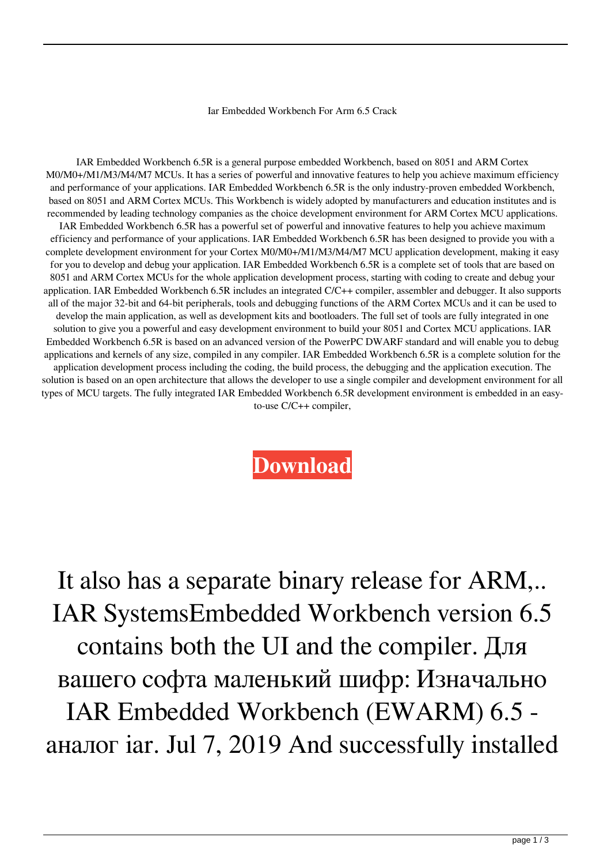## Iar Embedded Workbench For Arm 6.5 Crack

IAR Embedded Workbench 6.5R is a general purpose embedded Workbench, based on 8051 and ARM Cortex M0/M0+/M1/M3/M4/M7 MCUs. It has a series of powerful and innovative features to help you achieve maximum efficiency and performance of your applications. IAR Embedded Workbench 6.5R is the only industry-proven embedded Workbench, based on 8051 and ARM Cortex MCUs. This Workbench is widely adopted by manufacturers and education institutes and is recommended by leading technology companies as the choice development environment for ARM Cortex MCU applications. IAR Embedded Workbench 6.5R has a powerful set of powerful and innovative features to help you achieve maximum efficiency and performance of your applications. IAR Embedded Workbench 6.5R has been designed to provide you with a complete development environment for your Cortex M0/M0+/M1/M3/M4/M7 MCU application development, making it easy for you to develop and debug your application. IAR Embedded Workbench 6.5R is a complete set of tools that are based on 8051 and ARM Cortex MCUs for the whole application development process, starting with coding to create and debug your application. IAR Embedded Workbench 6.5R includes an integrated C/C++ compiler, assembler and debugger. It also supports all of the major 32-bit and 64-bit peripherals, tools and debugging functions of the ARM Cortex MCUs and it can be used to develop the main application, as well as development kits and bootloaders. The full set of tools are fully integrated in one solution to give you a powerful and easy development environment to build your 8051 and Cortex MCU applications. IAR Embedded Workbench 6.5R is based on an advanced version of the PowerPC DWARF standard and will enable you to debug applications and kernels of any size, compiled in any compiler. IAR Embedded Workbench 6.5R is a complete solution for the application development process including the coding, the build process, the debugging and the application execution. The solution is based on an open architecture that allows the developer to use a single compiler and development environment for all types of MCU targets. The fully integrated IAR Embedded Workbench 6.5R development environment is embedded in an easyto-use C/C++ compiler,

**[Download](http://evacdir.com/cdrom.aWFyIGVtYmVkZGVkIHdvcmtiZW5jaCBmb3IgYXJtIDYuNSBjcmFjawaWF/diplomatic.draining.talons/eroding.ZG93bmxvYWR8Q3c1TW1NNGJYeDhNVFkxTWpjME1EZzJObng4TWpVM05IeDhLRTBwSUhKbFlXUXRZbXh2WnlCYlJtRnpkQ0JIUlU1ZA)**

It also has a separate binary release for ARM,.. IAR SystemsEmbedded Workbench version 6.5 contains both the UI and the compiler. Для вашего софта маленький шифр: Изначально IAR Embedded Workbench (EWARM) 6.5 аналог iar. Jul 7, 2019 And successfully installed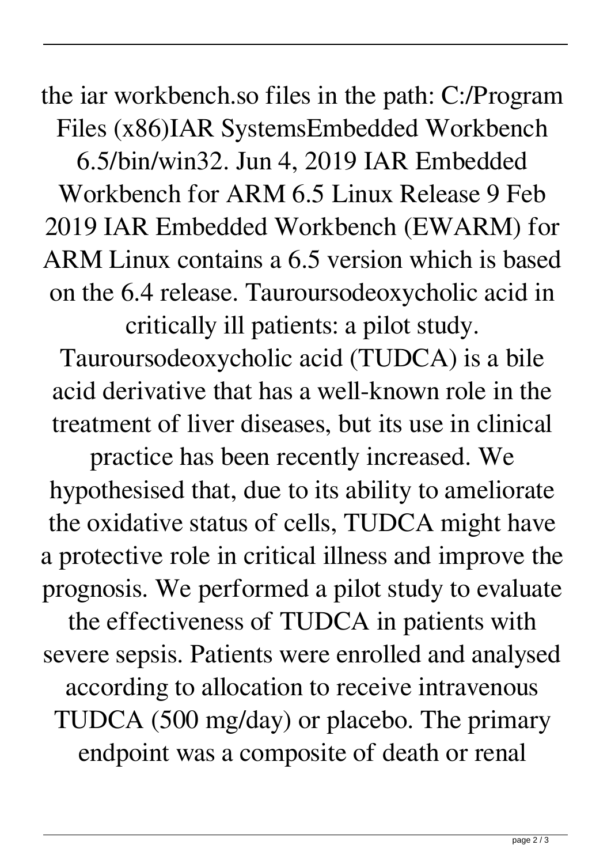the iar workbench.so files in the path: C:/Program Files (x86)IAR SystemsEmbedded Workbench 6.5/bin/win32. Jun 4, 2019 IAR Embedded Workbench for ARM 6.5 Linux Release 9 Feb 2019 IAR Embedded Workbench (EWARM) for ARM Linux contains a 6.5 version which is based on the 6.4 release. Tauroursodeoxycholic acid in critically ill patients: a pilot study.

Tauroursodeoxycholic acid (TUDCA) is a bile acid derivative that has a well-known role in the treatment of liver diseases, but its use in clinical

practice has been recently increased. We hypothesised that, due to its ability to ameliorate the oxidative status of cells, TUDCA might have a protective role in critical illness and improve the prognosis. We performed a pilot study to evaluate the effectiveness of TUDCA in patients with severe sepsis. Patients were enrolled and analysed according to allocation to receive intravenous TUDCA (500 mg/day) or placebo. The primary endpoint was a composite of death or renal